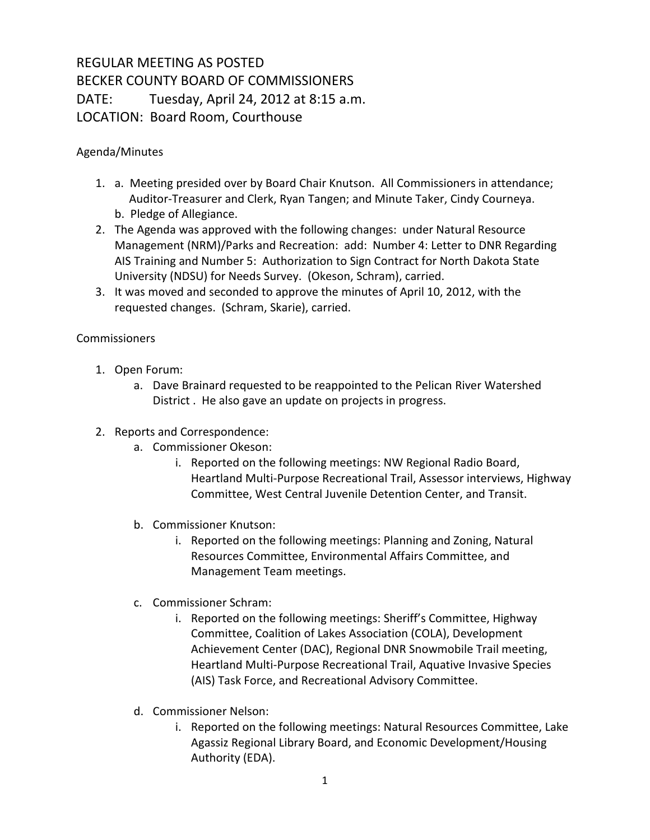## REGULAR MEETING AS POSTED BECKER COUNTY BOARD OF COMMISSIONERS DATE: Tuesday, April 24, 2012 at 8:15 a.m. LOCATION: Board Room, Courthouse

Agenda/Minutes

- 1. a. Meeting presided over by Board Chair Knutson. All Commissioners in attendance; Auditor-Treasurer and Clerk, Ryan Tangen; and Minute Taker, Cindy Courneya. b. Pledge of Allegiance.
- 2. The Agenda was approved with the following changes: under Natural Resource Management (NRM)/Parks and Recreation: add: Number 4: Letter to DNR Regarding AIS Training and Number 5: Authorization to Sign Contract for North Dakota State University (NDSU) for Needs Survey. (Okeson, Schram), carried.
- 3. It was moved and seconded to approve the minutes of April 10, 2012, with the requested changes. (Schram, Skarie), carried.

**Commissioners** 

- 1. Open Forum:
	- a. Dave Brainard requested to be reappointed to the Pelican River Watershed District . He also gave an update on projects in progress.
- 2. Reports and Correspondence:
	- a. Commissioner Okeson:
		- i. Reported on the following meetings: NW Regional Radio Board, Heartland Multi-Purpose Recreational Trail, Assessor interviews, Highway Committee, West Central Juvenile Detention Center, and Transit.
	- b. Commissioner Knutson:
		- i. Reported on the following meetings: Planning and Zoning, Natural Resources Committee, Environmental Affairs Committee, and Management Team meetings.
	- c. Commissioner Schram:
		- i. Reported on the following meetings: Sheriff's Committee, Highway Committee, Coalition of Lakes Association (COLA), Development Achievement Center (DAC), Regional DNR Snowmobile Trail meeting, Heartland Multi-Purpose Recreational Trail, Aquative Invasive Species (AIS) Task Force, and Recreational Advisory Committee.
	- d. Commissioner Nelson:
		- i. Reported on the following meetings: Natural Resources Committee, Lake Agassiz Regional Library Board, and Economic Development/Housing Authority (EDA).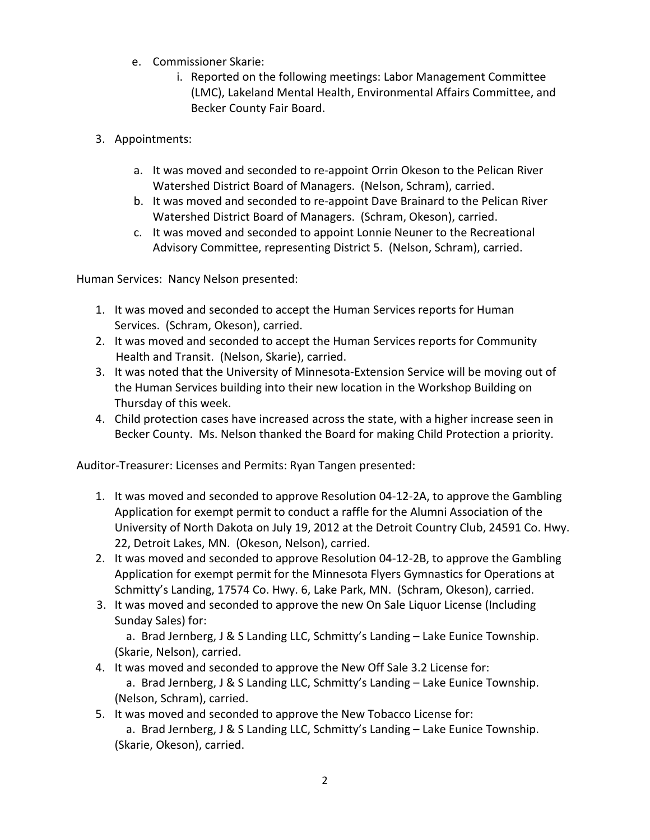- e. Commissioner Skarie:
	- i. Reported on the following meetings: Labor Management Committee (LMC), Lakeland Mental Health, Environmental Affairs Committee, and Becker County Fair Board.
- 3. Appointments:
	- a. It was moved and seconded to re-appoint Orrin Okeson to the Pelican River Watershed District Board of Managers. (Nelson, Schram), carried.
	- b. It was moved and seconded to re-appoint Dave Brainard to the Pelican River Watershed District Board of Managers. (Schram, Okeson), carried.
	- c. It was moved and seconded to appoint Lonnie Neuner to the Recreational Advisory Committee, representing District 5. (Nelson, Schram), carried.

Human Services: Nancy Nelson presented:

- 1. It was moved and seconded to accept the Human Services reports for Human Services. (Schram, Okeson), carried.
- 2. It was moved and seconded to accept the Human Services reports for Community Health and Transit. (Nelson, Skarie), carried.
- 3. It was noted that the University of Minnesota-Extension Service will be moving out of the Human Services building into their new location in the Workshop Building on Thursday of this week.
- 4. Child protection cases have increased across the state, with a higher increase seen in Becker County. Ms. Nelson thanked the Board for making Child Protection a priority.

Auditor-Treasurer: Licenses and Permits: Ryan Tangen presented:

- 1. It was moved and seconded to approve Resolution 04-12-2A, to approve the Gambling Application for exempt permit to conduct a raffle for the Alumni Association of the University of North Dakota on July 19, 2012 at the Detroit Country Club, 24591 Co. Hwy. 22, Detroit Lakes, MN. (Okeson, Nelson), carried.
- 2. It was moved and seconded to approve Resolution 04-12-2B, to approve the Gambling Application for exempt permit for the Minnesota Flyers Gymnastics for Operations at Schmitty's Landing, 17574 Co. Hwy. 6, Lake Park, MN. (Schram, Okeson), carried.
- 3. It was moved and seconded to approve the new On Sale Liquor License (Including Sunday Sales) for:

 a. Brad Jernberg, J & S Landing LLC, Schmitty's Landing – Lake Eunice Township. (Skarie, Nelson), carried.

- 4. It was moved and seconded to approve the New Off Sale 3.2 License for: a. Brad Jernberg, J & S Landing LLC, Schmitty's Landing – Lake Eunice Township.
	- (Nelson, Schram), carried.
- 5. It was moved and seconded to approve the New Tobacco License for: a. Brad Jernberg, J & S Landing LLC, Schmitty's Landing – Lake Eunice Township. (Skarie, Okeson), carried.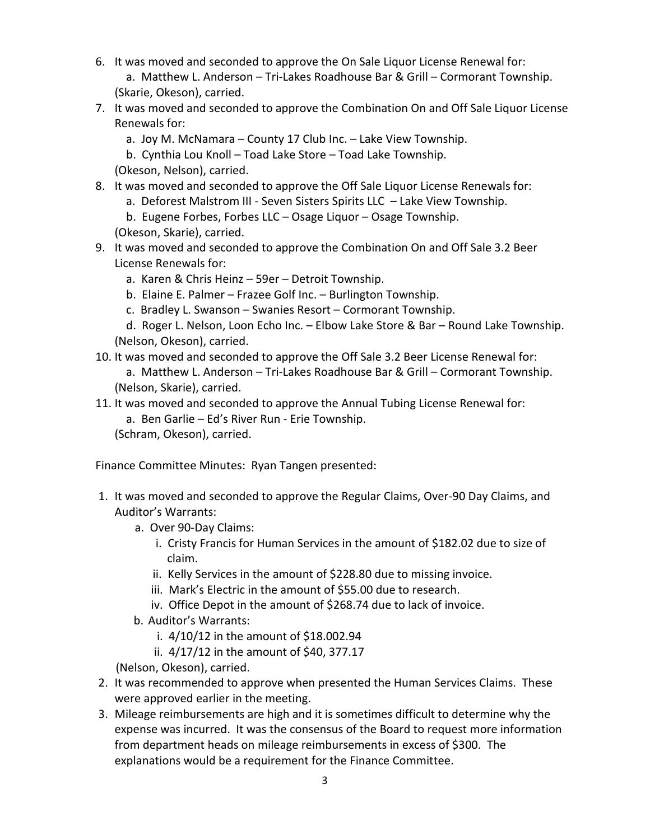- 6. It was moved and seconded to approve the On Sale Liquor License Renewal for: a. Matthew L. Anderson – Tri-Lakes Roadhouse Bar & Grill – Cormorant Township. (Skarie, Okeson), carried.
- 7. It was moved and seconded to approve the Combination On and Off Sale Liquor License Renewals for:
	- a. Joy M. McNamara County 17 Club Inc. Lake View Township.
	- b. Cynthia Lou Knoll Toad Lake Store Toad Lake Township.

(Okeson, Nelson), carried.

- 8. It was moved and seconded to approve the Off Sale Liquor License Renewals for:
	- a. Deforest Malstrom III Seven Sisters Spirits LLC Lake View Township.
	- b. Eugene Forbes, Forbes LLC Osage Liquor Osage Township.

(Okeson, Skarie), carried.

- 9. It was moved and seconded to approve the Combination On and Off Sale 3.2 Beer License Renewals for:
	- a. Karen & Chris Heinz 59er Detroit Township.
	- b. Elaine E. Palmer Frazee Golf Inc. Burlington Township.
	- c. Bradley L. Swanson Swanies Resort Cormorant Township.
	- d. Roger L. Nelson, Loon Echo Inc. Elbow Lake Store & Bar Round Lake Township. (Nelson, Okeson), carried.
- 10. It was moved and seconded to approve the Off Sale 3.2 Beer License Renewal for:

 a. Matthew L. Anderson – Tri-Lakes Roadhouse Bar & Grill – Cormorant Township. (Nelson, Skarie), carried.

- 11. It was moved and seconded to approve the Annual Tubing License Renewal for:
	- a. Ben Garlie Ed's River Run Erie Township.

(Schram, Okeson), carried.

Finance Committee Minutes: Ryan Tangen presented:

- 1. It was moved and seconded to approve the Regular Claims, Over-90 Day Claims, and Auditor's Warrants:
	- a. Over 90-Day Claims:
		- i. Cristy Francis for Human Services in the amount of \$182.02 due to size of claim.
		- ii. Kelly Services in the amount of \$228.80 due to missing invoice.
		- iii. Mark's Electric in the amount of \$55.00 due to research.
		- iv. Office Depot in the amount of \$268.74 due to lack of invoice.
	- b. Auditor's Warrants:
		- i. 4/10/12 in the amount of \$18.002.94
		- ii. 4/17/12 in the amount of \$40, 377.17

(Nelson, Okeson), carried.

- 2. It was recommended to approve when presented the Human Services Claims. These were approved earlier in the meeting.
- 3. Mileage reimbursements are high and it is sometimes difficult to determine why the expense was incurred. It was the consensus of the Board to request more information from department heads on mileage reimbursements in excess of \$300. The explanations would be a requirement for the Finance Committee.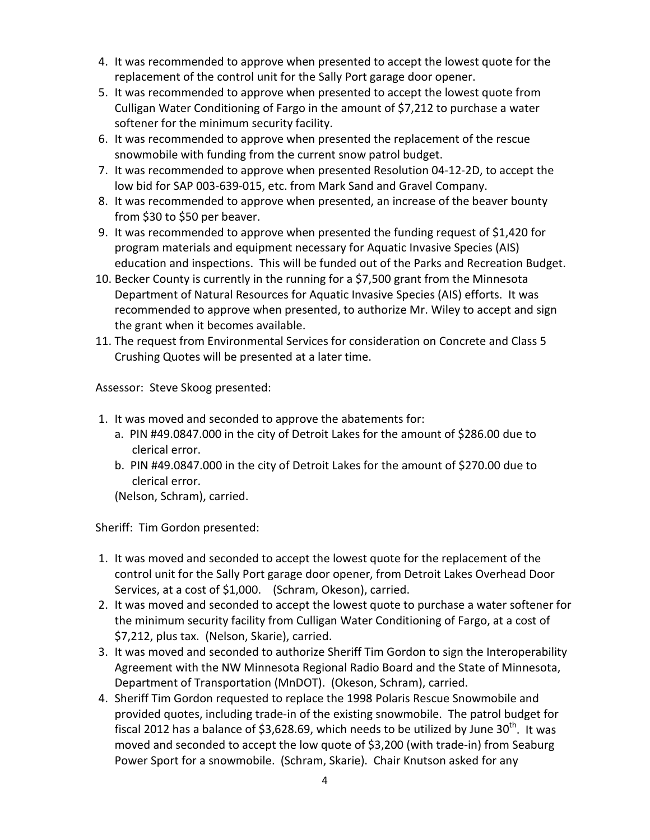- 4. It was recommended to approve when presented to accept the lowest quote for the replacement of the control unit for the Sally Port garage door opener.
- 5. It was recommended to approve when presented to accept the lowest quote from Culligan Water Conditioning of Fargo in the amount of \$7,212 to purchase a water softener for the minimum security facility.
- 6. It was recommended to approve when presented the replacement of the rescue snowmobile with funding from the current snow patrol budget.
- 7. It was recommended to approve when presented Resolution 04-12-2D, to accept the low bid for SAP 003-639-015, etc. from Mark Sand and Gravel Company.
- 8. It was recommended to approve when presented, an increase of the beaver bounty from \$30 to \$50 per beaver.
- 9. It was recommended to approve when presented the funding request of \$1,420 for program materials and equipment necessary for Aquatic Invasive Species (AIS) education and inspections. This will be funded out of the Parks and Recreation Budget.
- 10. Becker County is currently in the running for a \$7,500 grant from the Minnesota Department of Natural Resources for Aquatic Invasive Species (AIS) efforts. It was recommended to approve when presented, to authorize Mr. Wiley to accept and sign the grant when it becomes available.
- 11. The request from Environmental Services for consideration on Concrete and Class 5 Crushing Quotes will be presented at a later time.

Assessor: Steve Skoog presented:

- 1. It was moved and seconded to approve the abatements for:
	- a. PIN #49.0847.000 in the city of Detroit Lakes for the amount of \$286.00 due to clerical error.
	- b. PIN #49.0847.000 in the city of Detroit Lakes for the amount of \$270.00 due to clerical error.

(Nelson, Schram), carried.

Sheriff: Tim Gordon presented:

- 1. It was moved and seconded to accept the lowest quote for the replacement of the control unit for the Sally Port garage door opener, from Detroit Lakes Overhead Door Services, at a cost of \$1,000. (Schram, Okeson), carried.
- 2. It was moved and seconded to accept the lowest quote to purchase a water softener for the minimum security facility from Culligan Water Conditioning of Fargo, at a cost of \$7,212, plus tax. (Nelson, Skarie), carried.
- 3. It was moved and seconded to authorize Sheriff Tim Gordon to sign the Interoperability Agreement with the NW Minnesota Regional Radio Board and the State of Minnesota, Department of Transportation (MnDOT). (Okeson, Schram), carried.
- 4. Sheriff Tim Gordon requested to replace the 1998 Polaris Rescue Snowmobile and provided quotes, including trade-in of the existing snowmobile. The patrol budget for fiscal 2012 has a balance of \$3,628.69, which needs to be utilized by June 30<sup>th</sup>. It was moved and seconded to accept the low quote of \$3,200 (with trade-in) from Seaburg Power Sport for a snowmobile. (Schram, Skarie). Chair Knutson asked for any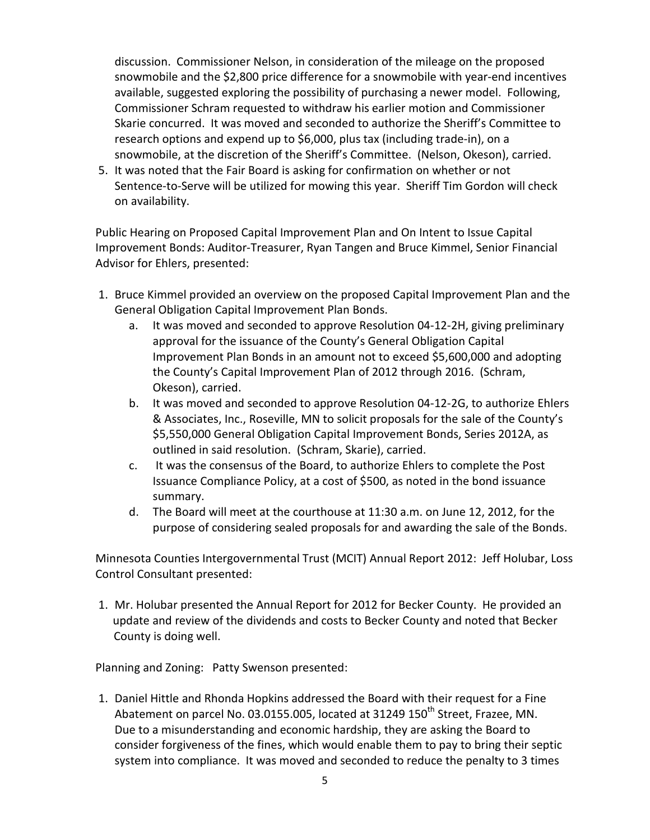discussion. Commissioner Nelson, in consideration of the mileage on the proposed snowmobile and the \$2,800 price difference for a snowmobile with year-end incentives available, suggested exploring the possibility of purchasing a newer model. Following, Commissioner Schram requested to withdraw his earlier motion and Commissioner Skarie concurred. It was moved and seconded to authorize the Sheriff's Committee to research options and expend up to \$6,000, plus tax (including trade-in), on a snowmobile, at the discretion of the Sheriff's Committee. (Nelson, Okeson), carried.

5. It was noted that the Fair Board is asking for confirmation on whether or not Sentence-to-Serve will be utilized for mowing this year. Sheriff Tim Gordon will check on availability.

Public Hearing on Proposed Capital Improvement Plan and On Intent to Issue Capital Improvement Bonds: Auditor-Treasurer, Ryan Tangen and Bruce Kimmel, Senior Financial Advisor for Ehlers, presented:

- 1. Bruce Kimmel provided an overview on the proposed Capital Improvement Plan and the General Obligation Capital Improvement Plan Bonds.
	- a. It was moved and seconded to approve Resolution 04-12-2H, giving preliminary approval for the issuance of the County's General Obligation Capital Improvement Plan Bonds in an amount not to exceed \$5,600,000 and adopting the County's Capital Improvement Plan of 2012 through 2016. (Schram, Okeson), carried.
	- b. It was moved and seconded to approve Resolution 04-12-2G, to authorize Ehlers & Associates, Inc., Roseville, MN to solicit proposals for the sale of the County's \$5,550,000 General Obligation Capital Improvement Bonds, Series 2012A, as outlined in said resolution. (Schram, Skarie), carried.
	- c. It was the consensus of the Board, to authorize Ehlers to complete the Post Issuance Compliance Policy, at a cost of \$500, as noted in the bond issuance summary.
	- d. The Board will meet at the courthouse at 11:30 a.m. on June 12, 2012, for the purpose of considering sealed proposals for and awarding the sale of the Bonds.

Minnesota Counties Intergovernmental Trust (MCIT) Annual Report 2012: Jeff Holubar, Loss Control Consultant presented:

1. Mr. Holubar presented the Annual Report for 2012 for Becker County. He provided an update and review of the dividends and costs to Becker County and noted that Becker County is doing well.

Planning and Zoning: Patty Swenson presented:

1. Daniel Hittle and Rhonda Hopkins addressed the Board with their request for a Fine Abatement on parcel No. 03.0155.005, located at 31249 150<sup>th</sup> Street, Frazee, MN. Due to a misunderstanding and economic hardship, they are asking the Board to consider forgiveness of the fines, which would enable them to pay to bring their septic system into compliance. It was moved and seconded to reduce the penalty to 3 times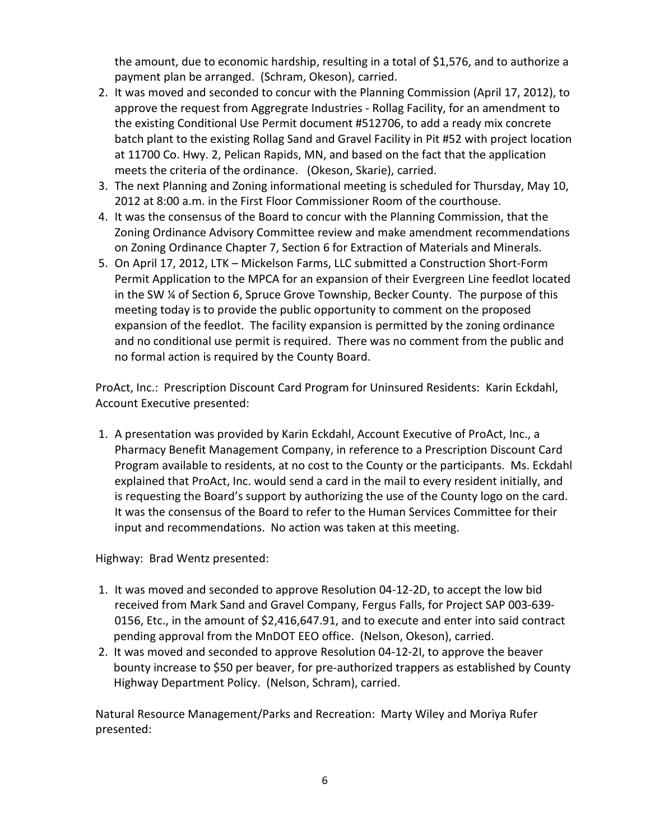the amount, due to economic hardship, resulting in a total of \$1,576, and to authorize a payment plan be arranged. (Schram, Okeson), carried.

- 2. It was moved and seconded to concur with the Planning Commission (April 17, 2012), to approve the request from Aggregrate Industries - Rollag Facility, for an amendment to the existing Conditional Use Permit document #512706, to add a ready mix concrete batch plant to the existing Rollag Sand and Gravel Facility in Pit #52 with project location at 11700 Co. Hwy. 2, Pelican Rapids, MN, and based on the fact that the application meets the criteria of the ordinance. (Okeson, Skarie), carried.
- 3. The next Planning and Zoning informational meeting is scheduled for Thursday, May 10, 2012 at 8:00 a.m. in the First Floor Commissioner Room of the courthouse.
- 4. It was the consensus of the Board to concur with the Planning Commission, that the Zoning Ordinance Advisory Committee review and make amendment recommendations on Zoning Ordinance Chapter 7, Section 6 for Extraction of Materials and Minerals.
- 5. On April 17, 2012, LTK Mickelson Farms, LLC submitted a Construction Short-Form Permit Application to the MPCA for an expansion of their Evergreen Line feedlot located in the SW ¼ of Section 6, Spruce Grove Township, Becker County. The purpose of this meeting today is to provide the public opportunity to comment on the proposed expansion of the feedlot. The facility expansion is permitted by the zoning ordinance and no conditional use permit is required. There was no comment from the public and no formal action is required by the County Board.

ProAct, Inc.: Prescription Discount Card Program for Uninsured Residents: Karin Eckdahl, Account Executive presented:

1. A presentation was provided by Karin Eckdahl, Account Executive of ProAct, Inc., a Pharmacy Benefit Management Company, in reference to a Prescription Discount Card Program available to residents, at no cost to the County or the participants. Ms. Eckdahl explained that ProAct, Inc. would send a card in the mail to every resident initially, and is requesting the Board's support by authorizing the use of the County logo on the card. It was the consensus of the Board to refer to the Human Services Committee for their input and recommendations. No action was taken at this meeting.

Highway: Brad Wentz presented:

- 1. It was moved and seconded to approve Resolution 04-12-2D, to accept the low bid received from Mark Sand and Gravel Company, Fergus Falls, for Project SAP 003-639- 0156, Etc., in the amount of \$2,416,647.91, and to execute and enter into said contract pending approval from the MnDOT EEO office. (Nelson, Okeson), carried.
- 2. It was moved and seconded to approve Resolution 04-12-2I, to approve the beaver bounty increase to \$50 per beaver, for pre-authorized trappers as established by County Highway Department Policy.(Nelson, Schram), carried.

Natural Resource Management/Parks and Recreation: Marty Wiley and Moriya Rufer presented: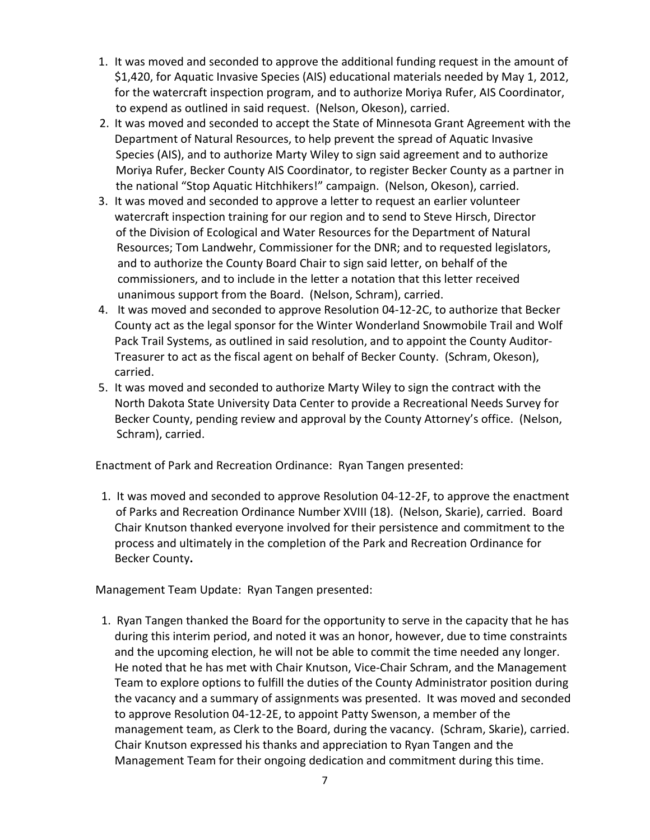- 1. It was moved and seconded to approve the additional funding request in the amount of \$1,420, for Aquatic Invasive Species (AIS) educational materials needed by May 1, 2012, for the watercraft inspection program, and to authorize Moriya Rufer, AIS Coordinator, to expend as outlined in said request. (Nelson, Okeson), carried.
- 2. It was moved and seconded to accept the State of Minnesota Grant Agreement with the Department of Natural Resources, to help prevent the spread of Aquatic Invasive Species (AIS), and to authorize Marty Wiley to sign said agreement and to authorize Moriya Rufer, Becker County AIS Coordinator, to register Becker County as a partner in the national "Stop Aquatic Hitchhikers!" campaign. (Nelson, Okeson), carried.
- 3. It was moved and seconded to approve a letter to request an earlier volunteer watercraft inspection training for our region and to send to Steve Hirsch, Director of the Division of Ecological and Water Resources for the Department of Natural Resources; Tom Landwehr, Commissioner for the DNR; and to requested legislators, and to authorize the County Board Chair to sign said letter, on behalf of the commissioners, and to include in the letter a notation that this letter received unanimous support from the Board. (Nelson, Schram), carried.
- 4. It was moved and seconded to approve Resolution 04-12-2C, to authorize that Becker County act as the legal sponsor for the Winter Wonderland Snowmobile Trail and Wolf Pack Trail Systems, as outlined in said resolution, and to appoint the County Auditor-Treasurer to act as the fiscal agent on behalf of Becker County. (Schram, Okeson), carried.
- 5. It was moved and seconded to authorize Marty Wiley to sign the contract with the North Dakota State University Data Center to provide a Recreational Needs Survey for Becker County, pending review and approval by the County Attorney's office. (Nelson, Schram), carried.

Enactment of Park and Recreation Ordinance: Ryan Tangen presented:

 1. It was moved and seconded to approve Resolution 04-12-2F, to approve the enactment of Parks and Recreation Ordinance Number XVIII (18). (Nelson, Skarie), carried. Board Chair Knutson thanked everyone involved for their persistence and commitment to the process and ultimately in the completion of the Park and Recreation Ordinance for Becker County**.** 

Management Team Update: Ryan Tangen presented:

 1. Ryan Tangen thanked the Board for the opportunity to serve in the capacity that he has during this interim period, and noted it was an honor, however, due to time constraints and the upcoming election, he will not be able to commit the time needed any longer. He noted that he has met with Chair Knutson, Vice-Chair Schram, and the Management Team to explore options to fulfill the duties of the County Administrator position during the vacancy and a summary of assignments was presented. It was moved and seconded to approve Resolution 04-12-2E, to appoint Patty Swenson, a member of the management team, as Clerk to the Board, during the vacancy. (Schram, Skarie), carried. Chair Knutson expressed his thanks and appreciation to Ryan Tangen and the Management Team for their ongoing dedication and commitment during this time.